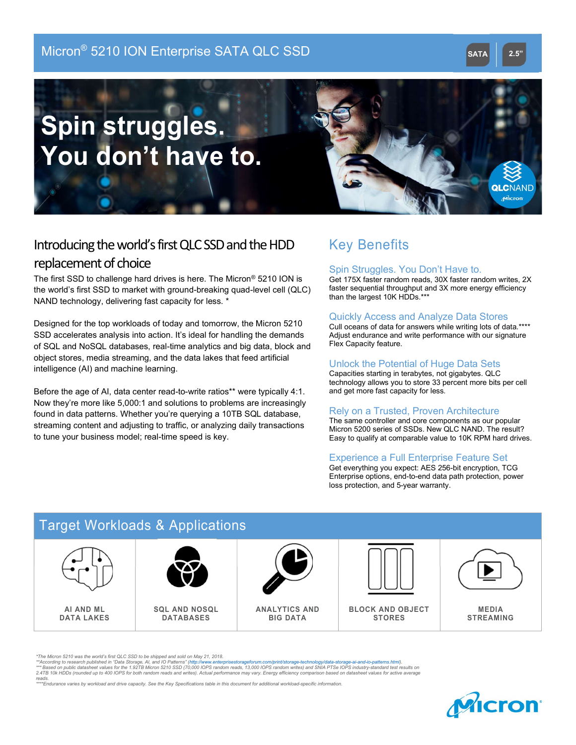### Micron® 5210 ION Enterprise SATA QLC SSD SATA SATA 2.5"

# Spin struggles. You don't have to.



### Introducing the world's first QLC SSD and the HDD replacement of choice

The first SSD to challenge hard drives is here. The Micron® 5210 ION is the world's first SSD to market with ground-breaking quad-level cell (QLC) NAND technology, delivering fast capacity for less. \*

Designed for the top workloads of today and tomorrow, the Micron 5210 SSD accelerates analysis into action. It's ideal for handling the demands of SQL and NoSQL databases, real-time analytics and big data, block and object stores, media streaming, and the data lakes that feed artificial intelligence (AI) and machine learning.

Before the age of AI, data center read-to-write ratios\*\* were typically 4:1. Now they're more like 5,000:1 and solutions to problems are increasingly found in data patterns. Whether you're querying a 10TB SQL database, streaming content and adjusting to traffic, or analyzing daily transactions to tune your business model; real-time speed is key.

## Key Benefits Key Benefits

### Spin Struggles. You Don't Have to.

Get 175X faster random reads, 30X faster random writes, 2X faster sequential throughput and 3X more energy efficiency than the largest 10K HDDs.\*\*\*

### Quickly Access and Analyze Data Stores Quickly Access and Analyze Data Stores

Cull oceans of data for answers while writing lots of data.\*\*\*\* Adjust endurance and write performance with our signature Flex Capacity feature.

### Unlock the Potential of Huge Data Sets

Capacities starting in terabytes, not gigabytes. QLC technology allows you to store 33 percent more bits per cell and get could be a store 33 percent more bits per and get more fast capacity for less. Capacities starting in terabytes, not gigabytes. QLC

### Rely on a Trusted, Proven Architecture

Trefly on a Trusted, Proven Architecture<br>The same controller and core components as our popular Same controller and core components as our popular Micron Micron 5200 series of SSDs. New QLC NAND. The result? moton 6200 sense of SSDs. New QLC NAND. The result.<br>Easy to qualify at comparable value to 10K RPM bard drives Easy to qualify at comparable value to 10K RPM hard drives.

### Experience a Full Enterprise Feature Set

Experience of Fair Enterprise Feature set<br>Get everything you expect: AES 256-bit encryption, TCG Enterprise options, end-to-end data path protection, power  $\cos$  protection, and 5-year warranty. loss protection, and 5-year warranty.



\*The Micron 5210 was the world's first QLC SSD to be shipped and sold on May 21, 2018.

\*\*According to research published in "Data Storage, AI, and IO Patterns" (http://www.enterprisestorageforum.com/print/storage-technology/data-storage-ai-and-io-patterns.html).<br>\*\*\* Based on public datasheet values for the 1

reads. \*\*\*\*Endurance varies by workload and drive capacity. See the Key Specifications table in this document for additional workload-specific information.